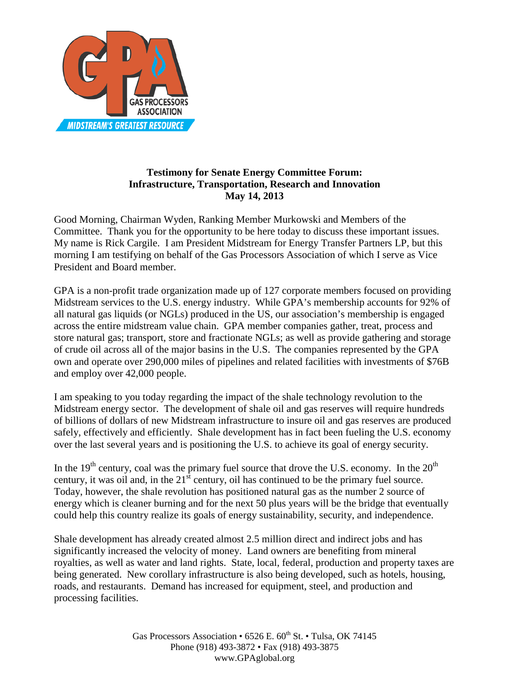

## **Testimony for Senate Energy Committee Forum: Infrastructure, Transportation, Research and Innovation May 14, 2013**

Good Morning, Chairman Wyden, Ranking Member Murkowski and Members of the Committee. Thank you for the opportunity to be here today to discuss these important issues. My name is Rick Cargile. I am President Midstream for Energy Transfer Partners LP, but this morning I am testifying on behalf of the Gas Processors Association of which I serve as Vice President and Board member.

GPA is a non-profit trade organization made up of 127 corporate members focused on providing Midstream services to the U.S. energy industry. While GPA's membership accounts for 92% of all natural gas liquids (or NGLs) produced in the US, our association's membership is engaged across the entire midstream value chain. GPA member companies gather, treat, process and store natural gas; transport, store and fractionate NGLs; as well as provide gathering and storage of crude oil across all of the major basins in the U.S. The companies represented by the GPA own and operate over 290,000 miles of pipelines and related facilities with investments of \$76B and employ over 42,000 people.

I am speaking to you today regarding the impact of the shale technology revolution to the Midstream energy sector. The development of shale oil and gas reserves will require hundreds of billions of dollars of new Midstream infrastructure to insure oil and gas reserves are produced safely, effectively and efficiently. Shale development has in fact been fueling the U.S. economy over the last several years and is positioning the U.S. to achieve its goal of energy security.

In the 19<sup>th</sup> century, coal was the primary fuel source that drove the U.S. economy. In the  $20<sup>th</sup>$ century, it was oil and, in the  $21<sup>st</sup>$  century, oil has continued to be the primary fuel source. Today, however, the shale revolution has positioned natural gas as the number 2 source of energy which is cleaner burning and for the next 50 plus years will be the bridge that eventually could help this country realize its goals of energy sustainability, security, and independence.

Shale development has already created almost 2.5 million direct and indirect jobs and has significantly increased the velocity of money. Land owners are benefiting from mineral royalties, as well as water and land rights. State, local, federal, production and property taxes are being generated. New corollary infrastructure is also being developed, such as hotels, housing, roads, and restaurants. Demand has increased for equipment, steel, and production and processing facilities.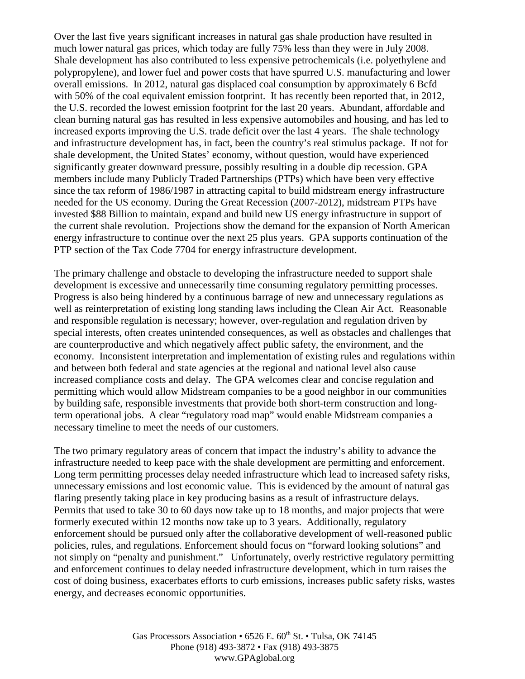Over the last five years significant increases in natural gas shale production have resulted in much lower natural gas prices, which today are fully 75% less than they were in July 2008. Shale development has also contributed to less expensive petrochemicals (i.e. polyethylene and polypropylene), and lower fuel and power costs that have spurred U.S. manufacturing and lower overall emissions. In 2012, natural gas displaced coal consumption by approximately 6 Bcfd with 50% of the coal equivalent emission footprint. It has recently been reported that, in 2012, the U.S. recorded the lowest emission footprint for the last 20 years. Abundant, affordable and clean burning natural gas has resulted in less expensive automobiles and housing, and has led to increased exports improving the U.S. trade deficit over the last 4 years. The shale technology and infrastructure development has, in fact, been the country's real stimulus package. If not for shale development, the United States' economy, without question, would have experienced significantly greater downward pressure, possibly resulting in a double dip recession. GPA members include many Publicly Traded Partnerships (PTPs) which have been very effective since the tax reform of 1986/1987 in attracting capital to build midstream energy infrastructure needed for the US economy. During the Great Recession (2007-2012), midstream PTPs have invested \$88 Billion to maintain, expand and build new US energy infrastructure in support of the current shale revolution. Projections show the demand for the expansion of North American energy infrastructure to continue over the next 25 plus years. GPA supports continuation of the PTP section of the Tax Code 7704 for energy infrastructure development.

The primary challenge and obstacle to developing the infrastructure needed to support shale development is excessive and unnecessarily time consuming regulatory permitting processes. Progress is also being hindered by a continuous barrage of new and unnecessary regulations as well as reinterpretation of existing long standing laws including the Clean Air Act. Reasonable and responsible regulation is necessary; however, over-regulation and regulation driven by special interests, often creates unintended consequences, as well as obstacles and challenges that are counterproductive and which negatively affect public safety, the environment, and the economy. Inconsistent interpretation and implementation of existing rules and regulations within and between both federal and state agencies at the regional and national level also cause increased compliance costs and delay. The GPA welcomes clear and concise regulation and permitting which would allow Midstream companies to be a good neighbor in our communities by building safe, responsible investments that provide both short-term construction and longterm operational jobs. A clear "regulatory road map" would enable Midstream companies a necessary timeline to meet the needs of our customers.

The two primary regulatory areas of concern that impact the industry's ability to advance the infrastructure needed to keep pace with the shale development are permitting and enforcement. Long term permitting processes delay needed infrastructure which lead to increased safety risks, unnecessary emissions and lost economic value. This is evidenced by the amount of natural gas flaring presently taking place in key producing basins as a result of infrastructure delays. Permits that used to take 30 to 60 days now take up to 18 months, and major projects that were formerly executed within 12 months now take up to 3 years. Additionally, regulatory enforcement should be pursued only after the collaborative development of well-reasoned public policies, rules, and regulations. Enforcement should focus on "forward looking solutions" and not simply on "penalty and punishment." Unfortunately, overly restrictive regulatory permitting and enforcement continues to delay needed infrastructure development, which in turn raises the cost of doing business, exacerbates efforts to curb emissions, increases public safety risks, wastes energy, and decreases economic opportunities.